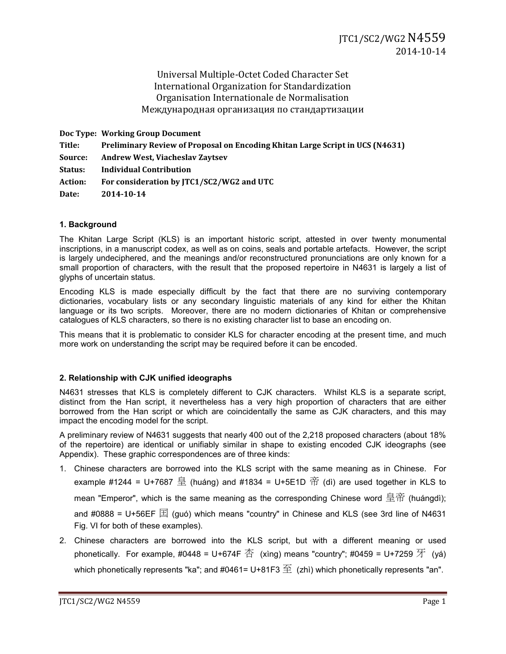# Universal Multiple-Octet Coded Character Set International Organization for Standardization Organisation Internationale de Normalisation Международная организация по стандартизации

Doc Type: Working Group Document Title: Preliminary Review of Proposal on Encoding Khitan Large Script in UCS (N4631) Source: Andrew West, Viacheslav Zaytsev Status: Individual Contribution Action: For consideration by JTC1/SC2/WG2 and UTC Date: 2014-10-14

## 1. Background

The Khitan Large Script (KLS) is an important historic script, attested in over twenty monumental inscriptions, in a manuscript codex, as well as on coins, seals and portable artefacts. However, the script is largely undeciphered, and the meanings and/or reconstructured pronunciations are only known for a small proportion of characters, with the result that the proposed repertoire in N4631 is largely a list of glyphs of uncertain status.

Encoding KLS is made especially difficult by the fact that there are no surviving contemporary dictionaries, vocabulary lists or any secondary linguistic materials of any kind for either the Khitan language or its two scripts. Moreover, there are no modern dictionaries of Khitan or comprehensive catalogues of KLS characters, so there is no existing character list to base an encoding on.

This means that it is problematic to consider KLS for character encoding at the present time, and much more work on understanding the script may be required before it can be encoded.

#### 2. Relationship with CJK unified ideographs

N4631 stresses that KLS is completely different to CJK characters. Whilst KLS is a separate script, distinct from the Han script, it nevertheless has a very high proportion of characters that are either borrowed from the Han script or which are coincidentally the same as CJK characters, and this may impact the encoding model for the script.

A preliminary review of N4631 suggests that nearly 400 out of the 2,218 proposed characters (about 18% of the repertoire) are identical or unifiably similar in shape to existing encoded CJK ideographs (see Appendix). These graphic correspondences are of three kinds:

- 1. Chinese characters are borrowed into the KLS script with the same meaning as in Chinese. For example #1244 = U+7687 皇 (huáng) and #1834 = U+5E1D 帝 (dì) are used together in KLS to mean "Emperor", which is the same meaning as the corresponding Chinese word 皇帝 (huángdì); and #0888 = U+56EF  $\mathbb{E}$  (guó) which means "country" in Chinese and KLS (see 3rd line of N4631 Fig. VI for both of these examples).
- 2. Chinese characters are borrowed into the KLS script, but with a different meaning or used phonetically. For example, #0448 = U+674F  $\overline{\text{A}}$  (xing) means "country"; #0459 = U+7259  $\overline{\text{A}}$  (yá) which phonetically represents "ka"; and #0461= U+81F3  $\widehat{\Xi}$  (zhì) which phonetically represents "an".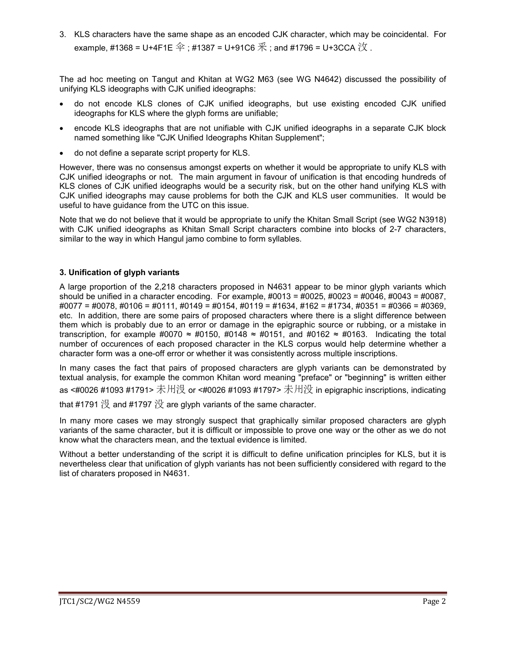3. KLS characters have the same shape as an encoded CJK character, which may be coincidental. For example, #1368 = U+4F1E  $\hat{\text{ }+}$  ; #1387 = U+91C6  $\mathcal{\bar{+}}$  ; and #1796 = U+3CCA  $\mathcal{\dot{V}}$  .

The ad hoc meeting on Tangut and Khitan at WG2 M63 (see WG N4642) discussed the possibility of unifying KLS ideographs with CJK unified ideographs:

- do not encode KLS clones of CJK unified ideographs, but use existing encoded CJK unified ideographs for KLS where the glyph forms are unifiable;
- encode KLS ideographs that are not unifiable with CJK unified ideographs in a separate CJK block named something like "CJK Unified Ideographs Khitan Supplement";
- do not define a separate script property for KLS.

However, there was no consensus amongst experts on whether it would be appropriate to unify KLS with CJK unified ideographs or not. The main argument in favour of unification is that encoding hundreds of KLS clones of CJK unified ideographs would be a security risk, but on the other hand unifying KLS with CJK unified ideographs may cause problems for both the CJK and KLS user communities. It would be useful to have guidance from the UTC on this issue.

Note that we do not believe that it would be appropriate to unify the Khitan Small Script (see WG2 N3918) with CJK unified ideographs as Khitan Small Script characters combine into blocks of 2-7 characters, similar to the way in which Hangul jamo combine to form syllables.

## 3. Unification of glyph variants

A large proportion of the 2,218 characters proposed in N4631 appear to be minor glyph variants which should be unified in a character encoding. For example,  $\#0013 = \#0025$ ,  $\#0023 = \#0046$ ,  $\#0043 = \#0087$ . #0077 = #0078, #0106 = #0111, #0149 = #0154, #0119 = #1634, #162 = #1734, #0351 = #0366 = #0369, etc. In addition, there are some pairs of proposed characters where there is a slight difference between them which is probably due to an error or damage in the epigraphic source or rubbing, or a mistake in transcription, for example #0070  $\approx$  #0150, #0148  $\approx$  #0151, and #0162  $\approx$  #0163. Indicating the total number of occurences of each proposed character in the KLS corpus would help determine whether a character form was a one-off error or whether it was consistently across multiple inscriptions.

In many cases the fact that pairs of proposed characters are glyph variants can be demonstrated by textual analysis, for example the common Khitan word meaning "preface" or "beginning" is written either as <#0026 #1093 #1791> 未用没 or <#0026 #1093 #1797> 未用没 in epigraphic inscriptions, indicating that #1791  $\frac{10}{12}$  and #1797  $\frac{10}{12}$  are glyph variants of the same character.

In many more cases we may strongly suspect that graphically similar proposed characters are glyph variants of the same character, but it is difficult or impossible to prove one way or the other as we do not know what the characters mean, and the textual evidence is limited.

Without a better understanding of the script it is difficult to define unification principles for KLS, but it is nevertheless clear that unification of glyph variants has not been sufficiently considered with regard to the list of charaters proposed in N4631.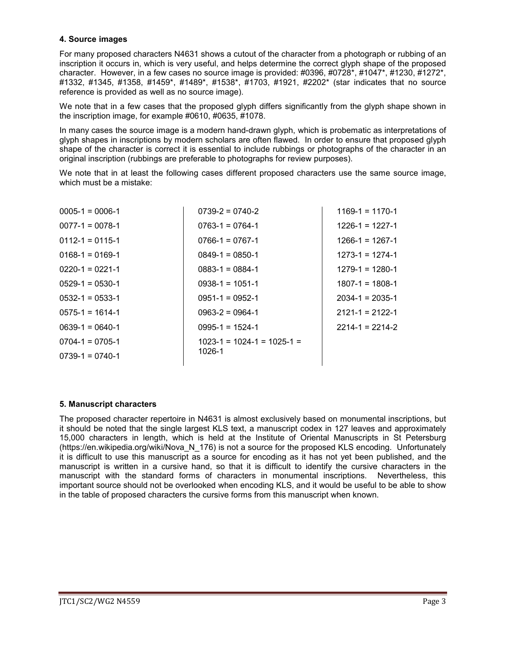#### 4. Source images

For many proposed characters N4631 shows a cutout of the character from a photograph or rubbing of an inscription it occurs in, which is very useful, and helps determine the correct glyph shape of the proposed character. However, in a few cases no source image is provided: #0396, #0728\*, #1047\*, #1230, #1272\*, #1332, #1345, #1358, #1459\*, #1489\*, #1538\*, #1703, #1921, #2202\* (star indicates that no source reference is provided as well as no source image).

We note that in a few cases that the proposed glyph differs significantly from the glyph shape shown in the inscription image, for example #0610, #0635, #1078.

In many cases the source image is a modern hand-drawn glyph, which is probematic as interpretations of glyph shapes in inscriptions by modern scholars are often flawed. In order to ensure that proposed glyph shape of the character is correct it is essential to include rubbings or photographs of the character in an original inscription (rubbings are preferable to photographs for review purposes).

We note that in at least the following cases different proposed characters use the same source image, which must be a mistake:

| $0005-1 = 0006-1$     | $0739-2 = 0740-2$                  | $1169-1 = 1170-1$     |
|-----------------------|------------------------------------|-----------------------|
| $0077 - 1 = 0078 - 1$ | $0763 - 1 = 0764 - 1$              | $1226 - 1 = 1227 - 1$ |
| $0112 - 1 = 0115 - 1$ | $0766 - 1 = 0767 - 1$              | $1266 - 1 = 1267 - 1$ |
| $0168 - 1 = 0169 - 1$ | $0849-1 = 0850-1$                  | $1273 - 1 = 1274 - 1$ |
| $0220 - 1 = 0221 - 1$ | $0883-1 = 0884-1$                  | $1279-1 = 1280-1$     |
| $0529-1 = 0530-1$     | $0938-1 = 1051-1$                  | $1807 - 1 = 1808 - 1$ |
| $0532 - 1 = 0533 - 1$ | $0951 - 1 = 0952 - 1$              | $2034 - 1 = 2035 - 1$ |
| $0575-1 = 1614-1$     | $0963-2 = 0964-1$                  | $2121 - 1 = 2122 - 1$ |
| $0639-1 = 0640-1$     | $0995-1 = 1524-1$                  | $2214 - 1 = 2214 - 2$ |
| $0704 - 1 = 0705 - 1$ | $1023 - 1 = 1024 - 1 = 1025 - 1 =$ |                       |
| $0739-1 = 0740-1$     | 1026-1                             |                       |
|                       |                                    |                       |

## 5. Manuscript characters

The proposed character repertoire in N4631 is almost exclusively based on monumental inscriptions, but it should be noted that the single largest KLS text, a manuscript codex in 127 leaves and approximately 15,000 characters in length, which is held at the Institute of Oriental Manuscripts in St Petersburg (https://en.wikipedia.org/wiki/Nova\_N\_176) is not a source for the proposed KLS encoding. Unfortunately it is difficult to use this manuscript as a source for encoding as it has not yet been published, and the manuscript is written in a cursive hand, so that it is difficult to identify the cursive characters in the manuscript with the standard forms of characters in monumental inscriptions. Nevertheless, this important source should not be overlooked when encoding KLS, and it would be useful to be able to show in the table of proposed characters the cursive forms from this manuscript when known.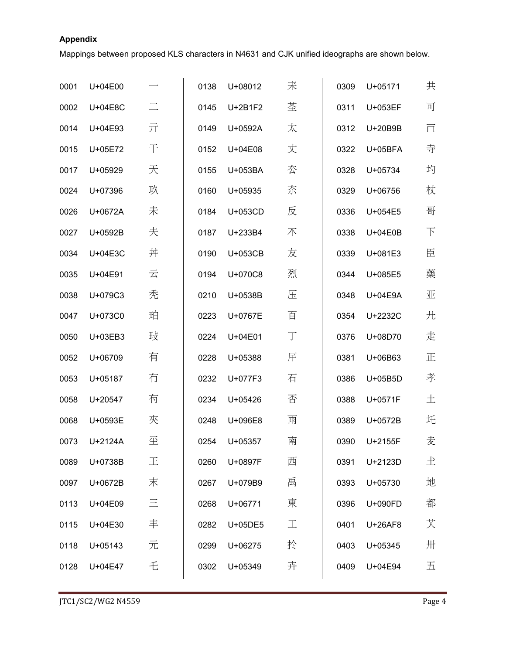# Appendix

Mappings between proposed KLS characters in N4631 and CJK unified ideographs are shown below.

| 0001 | U+04E00 |                                        | 0138 | U+08012 | 耒 | 0309 | U+05171 | 共      |
|------|---------|----------------------------------------|------|---------|---|------|---------|--------|
| 0002 | U+04E8C | $\equiv$                               | 0145 | U+2B1F2 | 荃 | 0311 | U+053EF | 可      |
| 0014 | U+04E93 | 亓                                      | 0149 | U+0592A | 太 | 0312 | U+20B9B | 戸      |
| 0015 | U+05E72 | 干                                      | 0152 | U+04E08 | 丈 | 0322 | U+05BFA | 寺      |
| 0017 | U+05929 | 天                                      | 0155 | U+053BA | 厺 | 0328 | U+05734 | 圴      |
| 0024 | U+07396 | 玖                                      | 0160 | U+05935 | 夵 | 0329 | U+06756 | 杖      |
| 0026 | U+0672A | 未                                      | 0184 | U+053CD | 反 | 0336 | U+054E5 | 哥      |
| 0027 | U+0592B | 夫                                      | 0187 | U+233B4 | 不 | 0338 | U+04E0B | $\top$ |
| 0034 | U+04E3C | 丼                                      | 0190 | U+053CB | 友 | 0339 | U+081E3 | 臣      |
| 0035 | U+04E91 | $\overline{\overline{\bigtriangleup}}$ | 0194 | U+070C8 | 烈 | 0344 | U+085E5 | 藥      |
| 0038 | U+079C3 | 秃                                      | 0210 | U+0538B | 压 | 0348 | U+04E9A | 亚      |
| 0047 | U+073C0 | 珀                                      | 0223 | U+0767E | 百 | 0354 | U+2232C | 光      |
| 0050 | U+03EB3 | 玫                                      | 0224 | U+04E01 | T | 0376 | U+08D70 | 走      |
| 0052 | U+06709 | 有                                      | 0228 | U+05388 | 厈 | 0381 | U+06B63 | 正      |
| 0053 | U+05187 | 冇                                      | 0232 | U+077F3 | 石 | 0386 | U+05B5D | 孝      |
| 0058 | U+20547 | 冇                                      | 0234 | U+05426 | 否 | 0388 | U+0571F | 土      |
| 0068 | U+0593E | 夾                                      | 0248 | U+096E8 | 雨 | 0389 | U+0572B | 圫      |
| 0073 | U+2124A | 至                                      | 0254 | U+05357 | 南 | 0390 | U+2155F | 麦      |
| 0089 | U+0738B | 王                                      | 0260 | U+0897F | 西 | 0391 | U+2123D | 土      |
| 0097 | U+0672B | 末                                      | 0267 | U+079B9 | 禹 | 0393 | U+05730 | 地      |
| 0113 | U+04E09 | $\equiv$                               | 0268 | U+06771 | 東 | 0396 | U+090FD | 都      |
| 0115 | U+04E30 | 丰                                      | 0282 | U+05DE5 | 工 | 0401 | U+26AF8 | 芖      |
| 0118 | U+05143 | 元                                      | 0299 | U+06275 | 扵 | 0403 | U+05345 | 卅      |
| 0128 | U+04E47 | 乇                                      | 0302 | U+05349 | 卉 | 0409 | U+04E94 | 五      |
|      |         |                                        |      |         |   |      |         |        |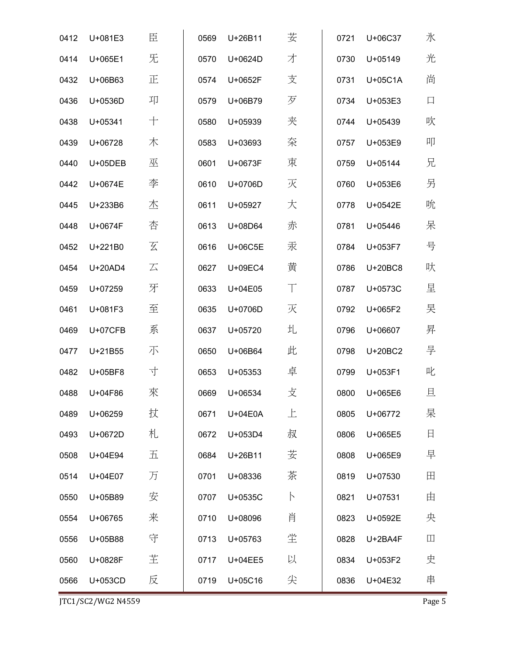| 0412 | U+081E3 | 臣     | 0569 | U+26B11 | 安                | 0721 | U+06C37 | 氷      |
|------|---------|-------|------|---------|------------------|------|---------|--------|
| 0414 | U+065E1 | 旡     | 0570 | U+0624D | 才                | 0730 | U+05149 | 光      |
| 0432 | U+06B63 | 正     | 0574 | U+0652F | 支                | 0731 | U+05C1A | 尚      |
| 0436 | U+0536D | 卭     | 0579 | U+06B79 | 万                | 0734 | U+053E3 | 口      |
| 0438 | U+05341 | $\pm$ | 0580 | U+05939 | 夹                | 0744 | U+05439 | 吹      |
| 0439 | U+06728 | 木     | 0583 | U+03693 | 奈                | 0757 | U+053E9 | 叩      |
| 0440 | U+05DEB | 巫     | 0601 | U+0673F | 朿                | 0759 | U+05144 | 兄      |
| 0442 | U+0674E | 李     | 0610 | U+0706D | 灭                | 0760 | U+053E6 | 另      |
| 0445 | U+233B6 | 朩     | 0611 | U+05927 | 大                | 0778 | U+0542E | 吮      |
| 0448 | U+0674F | 杏     | 0613 | U+08D64 | 赤                | 0781 | U+05446 | 呆      |
| 0452 | U+221B0 | 玄     | 0616 | U+06C5E | 汞                | 0784 | U+053F7 | 号      |
| 0454 | U+20AD4 | 云     | 0627 | U+09EC4 | 黄                | 0786 | U+20BC8 | 呔      |
| 0459 | U+07259 | 牙     | 0633 | U+04E05 | $\top$           | 0787 | U+0573C | 圼      |
| 0461 | U+081F3 | 至     | 0635 | U+0706D | 灭                | 0792 | U+065F2 | 旲      |
| 0469 | U+07CFB | 系     | 0637 | U+05720 | 圠                | 0796 | U+06607 | 昇      |
| 0477 | U+21B55 | 示     | 0650 | U+06B64 | 此                | 0798 | U+20BC2 | 旱      |
| 0482 | U+05BF8 | 寸     | 0653 | U+05353 | 卓                | 0799 | U+053F1 | 叱      |
| 0488 | U+04F86 | 來     | 0669 | U+06534 | 攴                | 0800 | U+065E6 | 旦      |
| 0489 | U+06259 | 扙     | 0671 | U+04E0A | 上                | 0805 | U+06772 | 杲      |
| 0493 | U+0672D | 札     | 0672 | U+053D4 | 叔                | 0806 | U+065E5 | 日      |
| 0508 | U+04E94 | 五     | 0684 | U+26B11 | 安                | 0808 | U+065E9 | 早      |
| 0514 | U+04E07 | 万     | 0701 | U+08336 | 茶                | 0819 | U+07530 | 田      |
| 0550 | U+05B89 | 安     | 0707 | U+0535C | $\triangleright$ | 0821 | U+07531 | 由      |
| 0554 | U+06765 | 来     | 0710 | U+08096 | 肖                | 0823 | U+0592E | 央      |
| 0556 | U+05B88 | 守     | 0713 | U+05763 | 坣                | 0828 | U+2BA4F | $\Box$ |
| 0560 | U+0828F | 芏     | 0717 | U+04EE5 | 以                | 0834 | U+053F2 | 史      |
| 0566 | U+053CD | 反     | 0719 | U+05C16 | 尖                | 0836 | U+04E32 | 串      |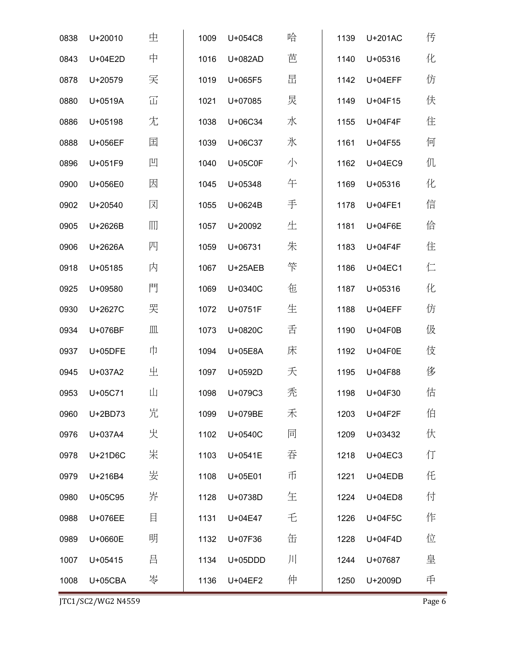| 0838 | U+20010   | 虫                    | 1009 | U+054C8        | 哈      | 1139 | U+201AC | 仔 |
|------|-----------|----------------------|------|----------------|--------|------|---------|---|
| 0843 | U+04E2D   | 中                    | 1016 | U+082AD        | 芭      | 1140 | U+05316 | 化 |
| 0878 | U+20579   | 宎                    | 1019 | U+065F5        | 旵      | 1142 | U+04EFF | 仿 |
| 0880 | U+0519A   | 冚                    | 1021 | U+07085        | 炅      | 1149 | U+04F15 | 伕 |
| 0886 | U+05198   | 冘                    | 1038 | U+06C34        | 水      | 1155 | U+04F4F | 住 |
| 0888 | U+056EF   | 囯                    | 1039 | U+06C37        | 氷      | 1161 | U+04F55 | 何 |
| 0896 | U+051F9   | 凹                    | 1040 | U+05C0F        | 小      | 1162 | U+04EC9 | 仉 |
| 0900 | U+056E0   | 因                    | 1045 | U+05348        | 午      | 1169 | U+05316 | 化 |
| 0902 | U+20540   | 凤                    | 1055 | U+0624B        | 手      | 1178 | U+04FE1 | 信 |
| 0905 | U+2626B   | Ⅲ                    | 1057 | U+20092        | 土      | 1181 | U+04F6E | 佮 |
| 0906 | U+2626A   | 四                    | 1059 | U+06731        | 朱      | 1183 | U+04F4F | 住 |
| 0918 | U+05185   | 内                    | 1067 | <b>U+25AEB</b> | 笇      | 1186 | U+04EC1 | 仁 |
| 0925 | U+09580   | 門                    | 1069 | U+0340C        | 衐      | 1187 | U+05316 | 化 |
| 0930 | U+2627C   | 哭                    | 1072 | U+0751F        | 生      | 1188 | U+04EFF | 仿 |
| 0934 | U+076BF   | $\hfill\blacksquare$ | 1073 | U+0820C        | 舌      | 1190 | U+04F0B | 伋 |
| 0937 | $U+05DFE$ | 巾                    | 1094 | U+05E8A        | 床      | 1192 | U+04F0E | 伎 |
| 0945 | U+037A2   | 出                    | 1097 | U+0592D        | 夭      | 1195 | U+04F88 | 侈 |
| 0953 | U+05C71   | Щ                    | 1098 | U+079C3        | 秃      | 1198 | U+04F30 | 估 |
| 0960 | U+2BD73   | 芁                    | 1099 | U+079BE        | 禾      | 1203 | U+04F2F | 伯 |
| 0976 | U+037A4   | 出                    | 1102 | U+0540C        | 同      | 1209 | U+03432 | 伏 |
| 0978 | U+21D6C   | 汖                    | 1103 | U+0541E        | 吞      | 1218 | U+04EC3 | 仃 |
| 0979 | U+216B4   | 安                    | 1108 | U+05E01        | 币      | 1221 | U+04EDB | 仛 |
| 0980 | U+05C95   | 岕                    | 1128 | U+0738D        | 玍      | 1224 | U+04ED8 | 付 |
| 0988 | U+076EE   | 目                    | 1131 | U+04E47        | 乇      | 1226 | U+04F5C | 作 |
| 0989 | U+0660E   | 明                    | 1132 | U+07F36        | 缶      | 1228 | U+04F4D | 位 |
| 1007 | $U+05415$ | 昌                    | 1134 | $U+05DDD$      | $\int$ | 1244 | U+07687 | 皇 |
| 1008 | U+05CBA   | 岑                    | 1136 | U+04EF2        | 仲      | 1250 | U+2009D | 币 |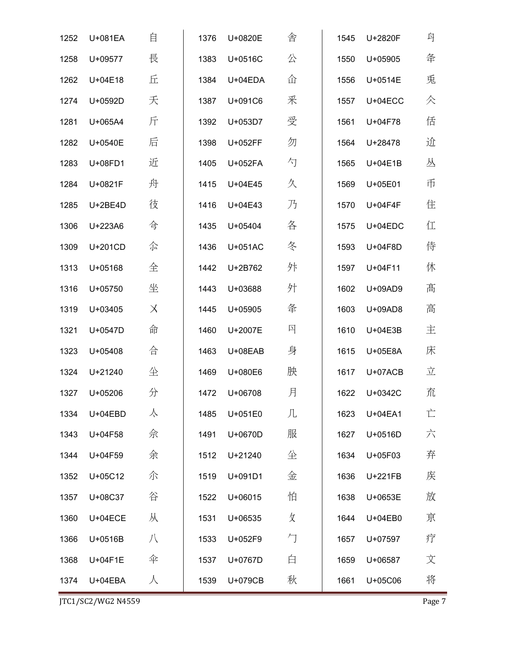| 1252 | U+081EA   | 自         | 1376 | U+0820E | 舎 | 1545 | U+2820F | 皁 |
|------|-----------|-----------|------|---------|---|------|---------|---|
| 1258 | U+09577   | 長         | 1383 | U+0516C | 公 | 1550 | U+05905 | 夅 |
| 1262 | U+04E18   | 丘         | 1384 | U+04EDA | 仚 | 1556 | U+0514E | 兎 |
| 1274 | U+0592D   | 夭         | 1387 | U+091C6 | 釆 | 1557 | U+04ECC | 仌 |
| 1281 | U+065A4   | 斤         | 1392 | U+053D7 | 受 | 1561 | U+04F78 | 佸 |
| 1282 | U+0540E   | 后         | 1398 | U+052FF | 勿 | 1564 | U+28478 | 並 |
| 1283 | U+08FD1   | 近         | 1405 | U+052FA | 勺 | 1565 | U+04E1B | 丛 |
| 1284 | U+0821F   | 舟         | 1415 | U+04E45 | 久 | 1569 | U+05E01 | 币 |
| 1285 | U+2BE4D   | 彼         | 1416 | U+04E43 | 乃 | 1570 | U+04F4F | 住 |
| 1306 | U+223A6   | 兮         | 1435 | U+05404 | 各 | 1575 | U+04EDC | 仜 |
| 1309 | U+201CD   | 尒         | 1436 | U+051AC | 冬 | 1593 | U+04F8D | 侍 |
| 1313 | U+05168   | 全         | 1442 | U+2B762 | 外 | 1597 | U+04F11 | 休 |
| 1316 | U+05750   | 坐         | 1443 | U+03688 | 外 | 1602 | U+09AD9 | 髙 |
| 1319 | U+03405   | $\times$  | 1445 | U+05905 | 夅 | 1603 | U+09AD8 | 高 |
| 1321 | U+0547D   | 命         | 1460 | U+2007E | 曱 | 1610 | U+04E3B | 主 |
| 1323 | U+05408   | 合         | 1463 | U+08EAB | 身 | 1615 | U+05E8A | 床 |
| 1324 | U+21240   | 尘         | 1469 | U+080E6 | 胦 | 1617 | U+07ACB | 立 |
| 1327 | U+05206   | 分         | 1472 | U+06708 | 月 | 1622 | U+0342C | 巟 |
| 1334 | U+04EBD   | 亽         | 1485 | U+051E0 | 几 | 1623 | U+04EA1 | 亡 |
| 1343 | U+04F58   | 佘         | 1491 | U+0670D | 服 | 1627 | U+0516D | 六 |
| 1344 | U+04F59   | 余         | 1512 | U+21240 | 尘 | 1634 | U+05F03 | 弃 |
| 1352 | U+05C12   | 尒         | 1519 | U+091D1 | 金 | 1636 | U+221FB | 庆 |
| 1357 | U+08C37   | 谷         | 1522 | U+06015 | 怕 | 1638 | U+0653E | 放 |
| 1360 | $U+04ECE$ | 从         | 1531 | U+06535 | 攵 | 1644 | U+04EB0 | 亰 |
| 1366 | U+0516B   | Л         | 1533 | U+052F9 | 勹 | 1657 | U+07597 | 疗 |
| 1368 | U+04F1E   | 伞         | 1537 | U+0767D | 白 | 1659 | U+06587 | 文 |
| 1374 | U+04EBA   | $\sqrt{}$ | 1539 | U+079CB | 秋 | 1661 | U+05C06 | 将 |